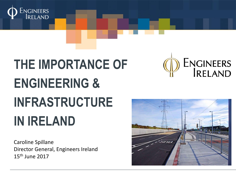

# **THE IMPORTANCE OF ENGINEERING & INFRASTRUCTURE IN IRELAND**

Caroline Spillane Director General, Engineers Ireland 15th June 2017



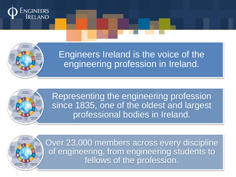



Engineers Ireland is the voice of the engineering profession in Ireland.



Representing the engineering profession since 1835, one of the oldest and largest professional bodies in Ireland.

Over 23,000 members across every discipline of engineering, from engineering students to fellows of the profession.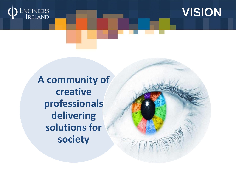



**A community of creative professionals delivering solutions for society**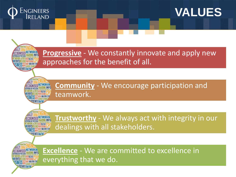



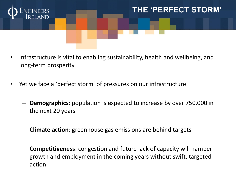

# **THE 'PERFECT STORM'**

- Infrastructure is vital to enabling sustainability, health and wellbeing, and long-term prosperity
- Yet we face a 'perfect storm' of pressures on our infrastructure
	- **Demographics**: population is expected to increase by over 750,000 in the next 20 years
	- **Climate action**: greenhouse gas emissions are behind targets
	- **Competitiveness**: congestion and future lack of capacity will hamper growth and employment in the coming years without swift, targeted action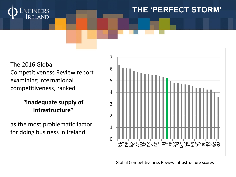

### **THE 'PERFECT STORM'**

The 2016 Global Competitiveness Review report examining international competitiveness, ranked

#### **"inadequate supply of infrastructure"**

as the most problematic factor for doing business in Ireland



Global Competitiveness Review infrastructure scores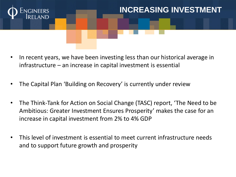

# **INCREASING INVESTMENT**

- In recent years, we have been investing less than our historical average in infrastructure – an increase in capital investment is essential
- The Capital Plan 'Building on Recovery' is currently under review
- The Think-Tank for Action on Social Change (TASC) report, 'The Need to be Ambitious: Greater Investment Ensures Prosperity' makes the case for an increase in capital investment from 2% to 4% GDP
- This level of investment is essential to meet current infrastructure needs and to support future growth and prosperity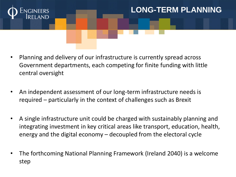

# **LONG-TERM PLANNING**

- Planning and delivery of our infrastructure is currently spread across Government departments, each competing for finite funding with little central oversight
- An independent assessment of our long-term infrastructure needs is required – particularly in the context of challenges such as Brexit
- A single infrastructure unit could be charged with sustainably planning and integrating investment in key critical areas like transport, education, health, energy and the digital economy – decoupled from the electoral cycle
- The forthcoming National Planning Framework (Ireland 2040) is a welcome step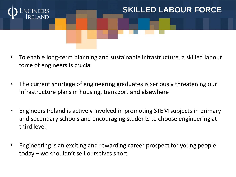

## **SKILLED LABOUR FORCE**

- To enable long-term planning and sustainable infrastructure, a skilled labour force of engineers is crucial
- The current shortage of engineering graduates is seriously threatening our infrastructure plans in housing, transport and elsewhere
- Engineers Ireland is actively involved in promoting STEM subjects in primary and secondary schools and encouraging students to choose engineering at third level
- Engineering is an exciting and rewarding career prospect for young people today – we shouldn't sell ourselves short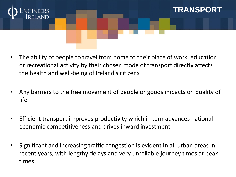

The ability of people to travel from home to their place of work, education or recreational activity by their chosen mode of transport directly affects the health and well-being of Ireland's citizens

**TRANSPORT**

- Any barriers to the free movement of people or goods impacts on quality of life
- Efficient transport improves productivity which in turn advances national economic competitiveness and drives inward investment
- Significant and increasing traffic congestion is evident in all urban areas in recent years, with lengthy delays and very unreliable journey times at peak times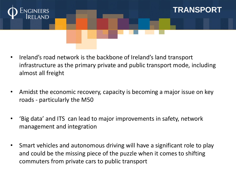

• Ireland's road network is the backbone of Ireland's land transport infrastructure as the primary private and public transport mode, including almost all freight

**TRANSPORT**

- Amidst the economic recovery, capacity is becoming a major issue on key roads - particularly the M50
- 'Big data' and ITS can lead to major improvements in safety, network management and integration
- Smart vehicles and autonomous driving will have a significant role to play and could be the missing piece of the puzzle when it comes to shifting commuters from private cars to public transport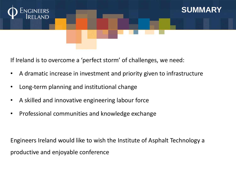

If Ireland is to overcome a 'perfect storm' of challenges, we need:

- A dramatic increase in investment and priority given to infrastructure
- Long-term planning and institutional change
- A skilled and innovative engineering labour force
- Professional communities and knowledge exchange

Engineers Ireland would like to wish the Institute of Asphalt Technology a productive and enjoyable conference